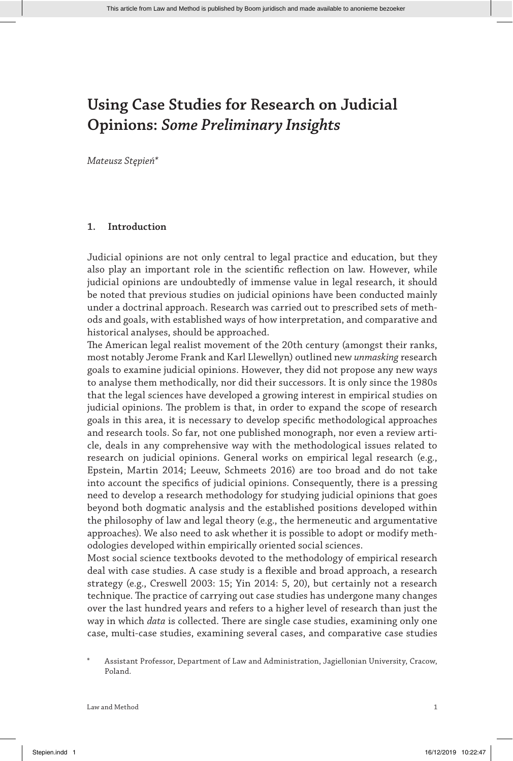*Mateusz Stępień\**

### **1. Introduction**

Judicial opinions are not only central to legal practice and education, but they also play an important role in the scientific reflection on law. However, while judicial opinions are undoubtedly of immense value in legal research, it should be noted that previous studies on judicial opinions have been conducted mainly under a doctrinal approach. Research was carried out to prescribed sets of methods and goals, with established ways of how interpretation, and comparative and historical analyses, should be approached.

The American legal realist movement of the 20th century (amongst their ranks, most notably Jerome Frank and Karl Llewellyn) outlined new *unmasking* research goals to examine judicial opinions. However, they did not propose any new ways to analyse them methodically, nor did their successors. It is only since the 1980s that the legal sciences have developed a growing interest in empirical studies on judicial opinions. The problem is that, in order to expand the scope of research goals in this area, it is necessary to develop specific methodological approaches and research tools. So far, not one published monograph, nor even a review article, deals in any comprehensive way with the methodological issues related to research on judicial opinions. General works on empirical legal research (e.g., Epstein, Martin 2014; Leeuw, Schmeets 2016) are too broad and do not take into account the specifics of judicial opinions. Consequently, there is a pressing need to develop a research methodology for studying judicial opinions that goes beyond both dogmatic analysis and the established positions developed within the philosophy of law and legal theory (e.g., the hermeneutic and argumentative approaches). We also need to ask whether it is possible to adopt or modify methodologies developed within empirically oriented social sciences.

Most social science textbooks devoted to the methodology of empirical research deal with case studies. A case study is a flexible and broad approach, a research strategy (e.g., Creswell 2003: 15; Yin 2014: 5, 20), but certainly not a research technique. The practice of carrying out case studies has undergone many changes over the last hundred years and refers to a higher level of research than just the way in which *data* is collected. There are single case studies, examining only one case, multi-case studies, examining several cases, and comparative case studies

\* Assistant Professor, Department of Law and Administration, Jagiellonian University, Cracow, Poland.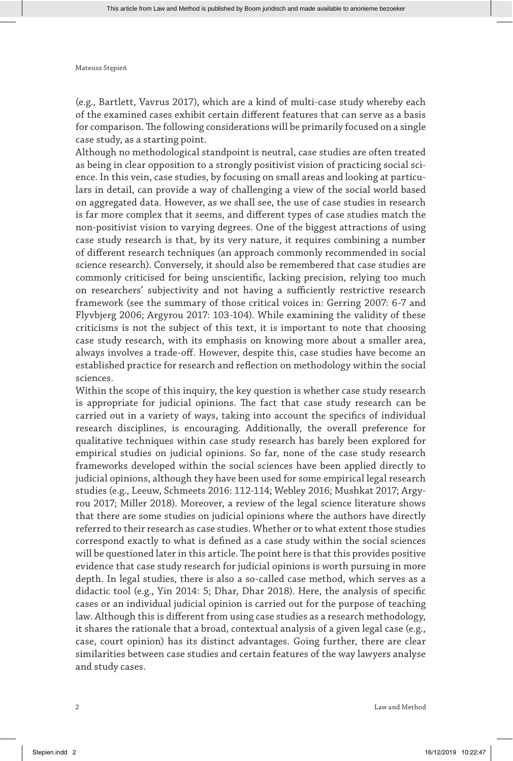(e.g., Bartlett, Vavrus 2017), which are a kind of multi-case study whereby each of the examined cases exhibit certain different features that can serve as a basis for comparison. The following considerations will be primarily focused on a single case study, as a starting point.

Although no methodological standpoint is neutral, case studies are often treated as being in clear opposition to a strongly positivist vision of practicing social science. In this vein, case studies, by focusing on small areas and looking at particulars in detail, can provide a way of challenging a view of the social world based on aggregated data. However, as we shall see, the use of case studies in research is far more complex that it seems, and different types of case studies match the non-positivist vision to varying degrees. One of the biggest attractions of using case study research is that, by its very nature, it requires combining a number of different research techniques (an approach commonly recommended in social science research). Conversely, it should also be remembered that case studies are commonly criticised for being unscientific, lacking precision, relying too much on researchers' subjectivity and not having a sufficiently restrictive research framework (see the summary of those critical voices in: Gerring 2007: 6-7 and Flyvbjerg 2006; Argyrou 2017: 103-104). While examining the validity of these criticisms is not the subject of this text, it is important to note that choosing case study research, with its emphasis on knowing more about a smaller area, always involves a trade-off. However, despite this, case studies have become an established practice for research and reflection on methodology within the social sciences.

Within the scope of this inquiry, the key question is whether case study research is appropriate for judicial opinions. The fact that case study research can be carried out in a variety of ways, taking into account the specifics of individual research disciplines, is encouraging. Additionally, the overall preference for qualitative techniques within case study research has barely been explored for empirical studies on judicial opinions. So far, none of the case study research frameworks developed within the social sciences have been applied directly to judicial opinions, although they have been used for some empirical legal research studies (e.g., Leeuw, Schmeets 2016: 112-114; Webley 2016; Mushkat 2017; Argyrou 2017; Miller 2018). Moreover, a review of the legal science literature shows that there are some studies on judicial opinions where the authors have directly referred to their research as case studies. Whether or to what extent those studies correspond exactly to what is defined as a case study within the social sciences will be questioned later in this article. The point here is that this provides positive evidence that case study research for judicial opinions is worth pursuing in more depth. In legal studies, there is also a so-called case method, which serves as a didactic tool (e.g., Yin 2014: 5; Dhar, Dhar 2018). Here, the analysis of specific cases or an individual judicial opinion is carried out for the purpose of teaching law. Although this is different from using case studies as a research methodology, it shares the rationale that a broad, contextual analysis of a given legal case (e.g., case, court opinion) has its distinct advantages. Going further, there are clear similarities between case studies and certain features of the way lawyers analyse and study cases.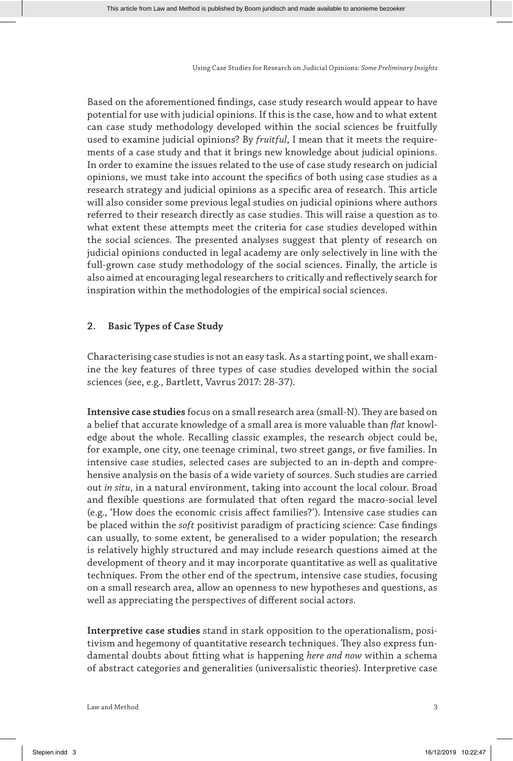Based on the aforementioned findings, case study research would appear to have potential for use with judicial opinions. If this is the case, how and to what extent can case study methodology developed within the social sciences be fruitfully used to examine judicial opinions? By *fruitful*, I mean that it meets the requirements of a case study and that it brings new knowledge about judicial opinions. In order to examine the issues related to the use of case study research on judicial opinions, we must take into account the specifics of both using case studies as a research strategy and judicial opinions as a specific area of research. This article will also consider some previous legal studies on judicial opinions where authors referred to their research directly as case studies. This will raise a question as to what extent these attempts meet the criteria for case studies developed within the social sciences. The presented analyses suggest that plenty of research on judicial opinions conducted in legal academy are only selectively in line with the full-grown case study methodology of the social sciences. Finally, the article is also aimed at encouraging legal researchers to critically and reflectively search for inspiration within the methodologies of the empirical social sciences.

## **2. Basic Types of Case Study**

Characterising case studies is not an easy task. As a starting point, we shall examine the key features of three types of case studies developed within the social sciences (see, e.g., Bartlett, Vavrus 2017: 28-37).

**Intensive case studies** focus on a small research area (small-N). They are based on a belief that accurate knowledge of a small area is more valuable than *flat* knowledge about the whole. Recalling classic examples, the research object could be, for example, one city, one teenage criminal, two street gangs, or five families. In intensive case studies, selected cases are subjected to an in-depth and comprehensive analysis on the basis of a wide variety of sources. Such studies are carried out *in situ*, in a natural environment, taking into account the local colour. Broad and flexible questions are formulated that often regard the macro-social level (e.g., 'How does the economic crisis affect families?'). Intensive case studies can be placed within the *soft* positivist paradigm of practicing science: Case findings can usually, to some extent, be generalised to a wider population; the research is relatively highly structured and may include research questions aimed at the development of theory and it may incorporate quantitative as well as qualitative techniques. From the other end of the spectrum, intensive case studies, focusing on a small research area, allow an openness to new hypotheses and questions, as well as appreciating the perspectives of different social actors.

**Interpretive case studies** stand in stark opposition to the operationalism, positivism and hegemony of quantitative research techniques. They also express fundamental doubts about fitting what is happening *here and now* within a schema of abstract categories and generalities (universalistic theories). Interpretive case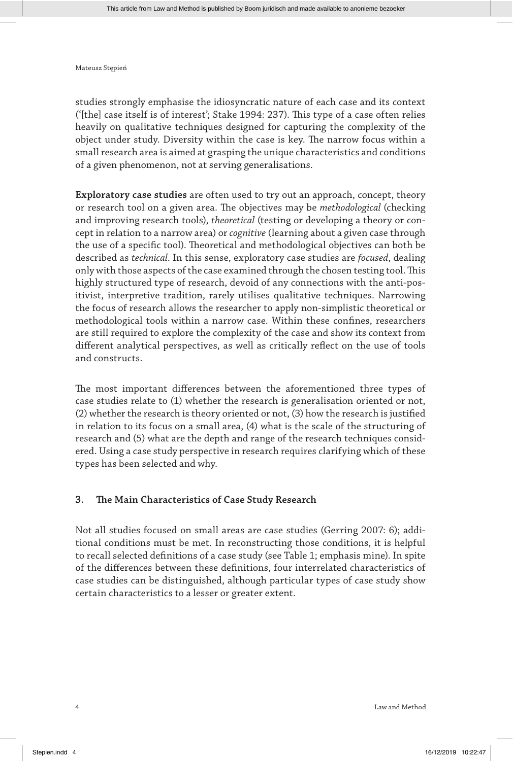studies strongly emphasise the idiosyncratic nature of each case and its context ('[the] case itself is of interest'; Stake 1994: 237). This type of a case often relies heavily on qualitative techniques designed for capturing the complexity of the object under study. Diversity within the case is key. The narrow focus within a small research area is aimed at grasping the unique characteristics and conditions of a given phenomenon, not at serving generalisations.

**Exploratory case studies** are often used to try out an approach, concept, theory or research tool on a given area. The objectives may be *methodological* (checking and improving research tools), *theoretical* (testing or developing a theory or concept in relation to a narrow area) or *cognitive* (learning about a given case through the use of a specific tool). Theoretical and methodological objectives can both be described as *technical*. In this sense, exploratory case studies are *focused*, dealing only with those aspects of the case examined through the chosen testing tool. This highly structured type of research, devoid of any connections with the anti-positivist, interpretive tradition, rarely utilises qualitative techniques. Narrowing the focus of research allows the researcher to apply non-simplistic theoretical or methodological tools within a narrow case. Within these confines, researchers are still required to explore the complexity of the case and show its context from different analytical perspectives, as well as critically reflect on the use of tools and constructs.

The most important differences between the aforementioned three types of case studies relate to (1) whether the research is generalisation oriented or not, (2) whether the research is theory oriented or not, (3) how the research is justified in relation to its focus on a small area, (4) what is the scale of the structuring of research and (5) what are the depth and range of the research techniques considered. Using a case study perspective in research requires clarifying which of these types has been selected and why.

## **3. The Main Characteristics of Case Study Research**

Not all studies focused on small areas are case studies (Gerring 2007: 6); additional conditions must be met. In reconstructing those conditions, it is helpful to recall selected definitions of a case study (see Table 1; emphasis mine). In spite of the differences between these definitions, four interrelated characteristics of case studies can be distinguished, although particular types of case study show certain characteristics to a lesser or greater extent.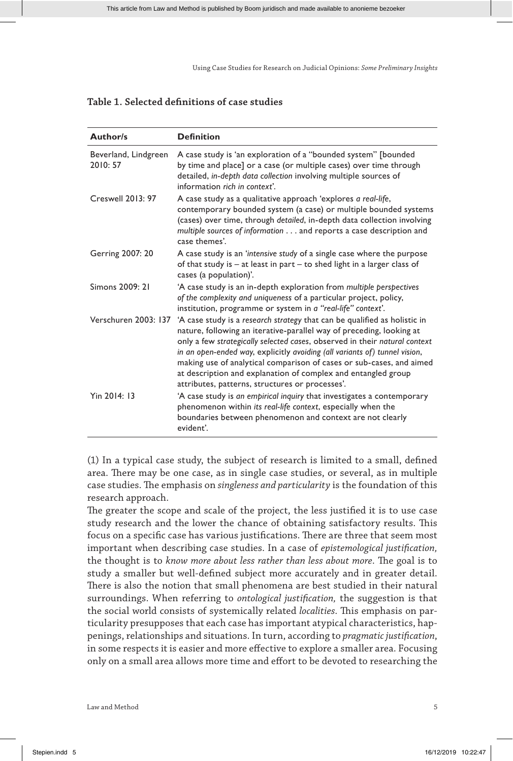## **Table 1. Selected definitions of case studies**

| <b>Author/s</b>                  | <b>Definition</b>                                                                                                                                                                                                                                                                                                                                                                                                                                                                                         |
|----------------------------------|-----------------------------------------------------------------------------------------------------------------------------------------------------------------------------------------------------------------------------------------------------------------------------------------------------------------------------------------------------------------------------------------------------------------------------------------------------------------------------------------------------------|
| Beverland, Lindgreen<br>2010: 57 | A case study is 'an exploration of a "bounded system" [bounded<br>by time and place] or a case (or multiple cases) over time through<br>detailed, in-depth data collection involving multiple sources of<br>information rich in context'.                                                                                                                                                                                                                                                                 |
| Creswell 2013: 97                | A case study as a qualitative approach 'explores a real-life,<br>contemporary bounded system (a case) or multiple bounded systems<br>(cases) over time, through detailed, in-depth data collection involving<br>multiple sources of information and reports a case description and<br>case themes'.                                                                                                                                                                                                       |
| Gerring 2007: 20                 | A case study is an 'intensive study of a single case where the purpose<br>of that study is $-$ at least in part $-$ to shed light in a larger class of<br>cases (a population)'.                                                                                                                                                                                                                                                                                                                          |
| Simons 2009: 21                  | 'A case study is an in-depth exploration from multiple perspectives<br>of the complexity and uniqueness of a particular project, policy,<br>institution, programme or system in a "real-life" context'.                                                                                                                                                                                                                                                                                                   |
| Verschuren 2003: 137             | 'A case study is a research strategy that can be qualified as holistic in<br>nature, following an iterative-parallel way of preceding, looking at<br>only a few strategically selected cases, observed in their natural context<br>in an open-ended way, explicitly avoiding (all variants of) tunnel vision,<br>making use of analytical comparison of cases or sub-cases, and aimed<br>at description and explanation of complex and entangled group<br>attributes, patterns, structures or processes'. |
| Yin 2014: 13                     | 'A case study is an empirical inquiry that investigates a contemporary<br>phenomenon within its real-life context, especially when the<br>boundaries between phenomenon and context are not clearly<br>evident'.                                                                                                                                                                                                                                                                                          |

(1) In a typical case study, the subject of research is limited to a small, defined area. There may be one case, as in single case studies, or several, as in multiple case studies. The emphasis on *singleness and particularity* is the foundation of this research approach.

The greater the scope and scale of the project, the less justified it is to use case study research and the lower the chance of obtaining satisfactory results. This focus on a specific case has various justifications. There are three that seem most important when describing case studies. In a case of *epistemological justification,* the thought is to *know more about less rather than less about more*. The goal is to study a smaller but well-defined subject more accurately and in greater detail. There is also the notion that small phenomena are best studied in their natural surroundings. When referring to *ontological justification,* the suggestion is that the social world consists of systemically related *localities*. This emphasis on particularity presupposes that each case has important atypical characteristics, happenings, relationships and situations. In turn, according to *pragmatic justification*, in some respects it is easier and more effective to explore a smaller area. Focusing only on a small area allows more time and effort to be devoted to researching the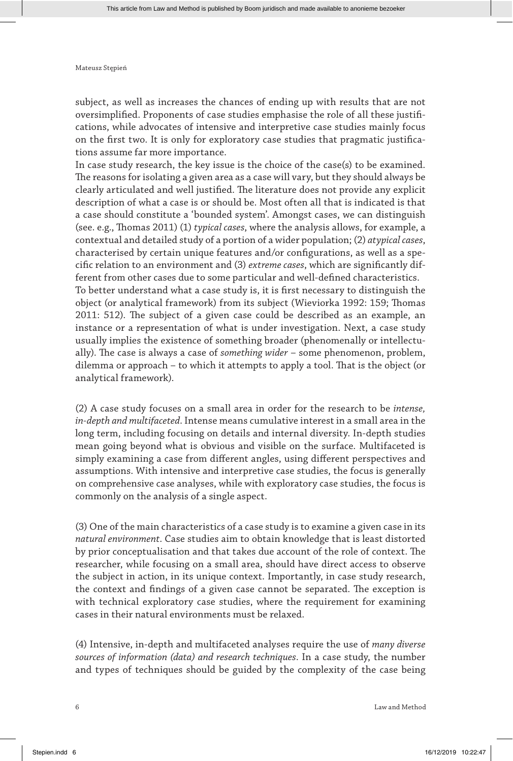subject, as well as increases the chances of ending up with results that are not oversimplified. Proponents of case studies emphasise the role of all these justifications, while advocates of intensive and interpretive case studies mainly focus on the first two. It is only for exploratory case studies that pragmatic justifications assume far more importance.

In case study research, the key issue is the choice of the case(s) to be examined. The reasons for isolating a given area as a case will vary, but they should always be clearly articulated and well justified. The literature does not provide any explicit description of what a case is or should be. Most often all that is indicated is that a case should constitute a 'bounded system'. Amongst cases, we can distinguish (see. e.g., Thomas 2011) (1) *typical cases*, where the analysis allows, for example, a contextual and detailed study of a portion of a wider population; (2) *atypical cases*, characterised by certain unique features and/or configurations, as well as a specific relation to an environment and (3) *extreme cases*, which are significantly different from other cases due to some particular and well-defined characteristics. To better understand what a case study is, it is first necessary to distinguish the object (or analytical framework) from its subject (Wieviorka 1992: 159; Thomas 2011: 512). The subject of a given case could be described as an example, an instance or a representation of what is under investigation. Next, a case study usually implies the existence of something broader (phenomenally or intellectually). The case is always a case of *something wider* – some phenomenon, problem, dilemma or approach – to which it attempts to apply a tool. That is the object (or analytical framework).

(2) A case study focuses on a small area in order for the research to be *intense, in-depth and multifaceted*. Intense means cumulative interest in a small area in the long term, including focusing on details and internal diversity. In-depth studies mean going beyond what is obvious and visible on the surface. Multifaceted is simply examining a case from different angles, using different perspectives and assumptions. With intensive and interpretive case studies, the focus is generally on comprehensive case analyses, while with exploratory case studies, the focus is commonly on the analysis of a single aspect.

(3) One of the main characteristics of a case study is to examine a given case in its *natural environment*. Case studies aim to obtain knowledge that is least distorted by prior conceptualisation and that takes due account of the role of context. The researcher, while focusing on a small area, should have direct access to observe the subject in action, in its unique context. Importantly, in case study research, the context and findings of a given case cannot be separated. The exception is with technical exploratory case studies, where the requirement for examining cases in their natural environments must be relaxed.

(4) Intensive, in-depth and multifaceted analyses require the use of *many diverse sources of information (data) and research techniques*. In a case study, the number and types of techniques should be guided by the complexity of the case being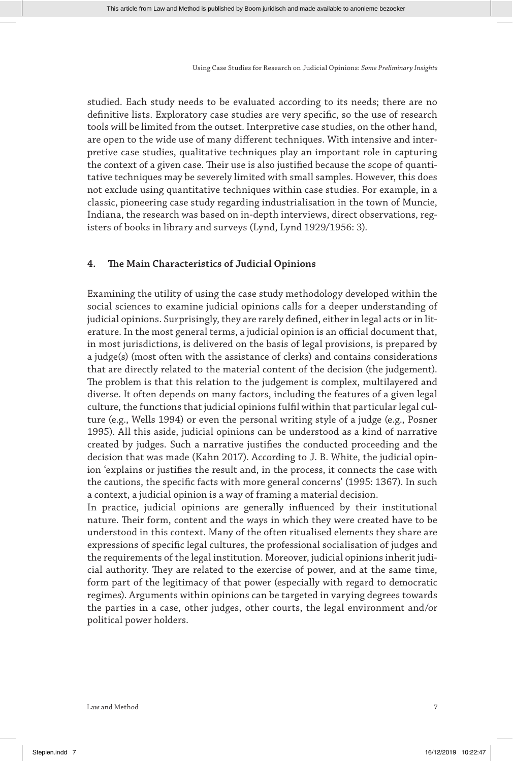studied. Each study needs to be evaluated according to its needs; there are no definitive lists. Exploratory case studies are very specific, so the use of research tools will be limited from the outset. Interpretive case studies, on the other hand, are open to the wide use of many different techniques. With intensive and interpretive case studies, qualitative techniques play an important role in capturing the context of a given case. Their use is also justified because the scope of quantitative techniques may be severely limited with small samples. However, this does not exclude using quantitative techniques within case studies. For example, in a classic, pioneering case study regarding industrialisation in the town of Muncie, Indiana, the research was based on in-depth interviews, direct observations, registers of books in library and surveys (Lynd, Lynd 1929/1956: 3).

## **4. The Main Characteristics of Judicial Opinions**

Examining the utility of using the case study methodology developed within the social sciences to examine judicial opinions calls for a deeper understanding of judicial opinions. Surprisingly, they are rarely defined, either in legal acts or in literature. In the most general terms, a judicial opinion is an official document that, in most jurisdictions, is delivered on the basis of legal provisions, is prepared by a judge(s) (most often with the assistance of clerks) and contains considerations that are directly related to the material content of the decision (the judgement). The problem is that this relation to the judgement is complex, multilayered and diverse. It often depends on many factors, including the features of a given legal culture, the functions that judicial opinions fulfil within that particular legal culture (e.g., Wells 1994) or even the personal writing style of a judge (e.g., Posner 1995). All this aside, judicial opinions can be understood as a kind of narrative created by judges. Such a narrative justifies the conducted proceeding and the decision that was made (Kahn 2017). According to J. B. White, the judicial opinion 'explains or justifies the result and, in the process, it connects the case with the cautions, the specific facts with more general concerns' (1995: 1367). In such a context, a judicial opinion is a way of framing a material decision.

In practice, judicial opinions are generally influenced by their institutional nature. Their form, content and the ways in which they were created have to be understood in this context. Many of the often ritualised elements they share are expressions of specific legal cultures, the professional socialisation of judges and the requirements of the legal institution. Moreover, judicial opinions inherit judicial authority. They are related to the exercise of power, and at the same time, form part of the legitimacy of that power (especially with regard to democratic regimes). Arguments within opinions can be targeted in varying degrees towards the parties in a case, other judges, other courts, the legal environment and/or political power holders.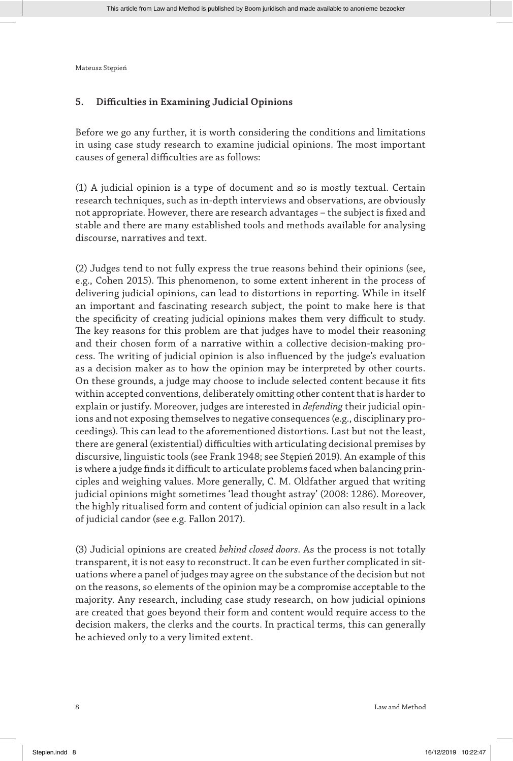## **5. Difficulties in Examining Judicial Opinions**

Before we go any further, it is worth considering the conditions and limitations in using case study research to examine judicial opinions. The most important causes of general difficulties are as follows:

(1) A judicial opinion is a type of document and so is mostly textual. Certain research techniques, such as in-depth interviews and observations, are obviously not appropriate. However, there are research advantages – the subject is fixed and stable and there are many established tools and methods available for analysing discourse, narratives and text.

(2) Judges tend to not fully express the true reasons behind their opinions (see, e.g., Cohen 2015). This phenomenon, to some extent inherent in the process of delivering judicial opinions, can lead to distortions in reporting. While in itself an important and fascinating research subject, the point to make here is that the specificity of creating judicial opinions makes them very difficult to study. The key reasons for this problem are that judges have to model their reasoning and their chosen form of a narrative within a collective decision-making process. The writing of judicial opinion is also influenced by the judge's evaluation as a decision maker as to how the opinion may be interpreted by other courts. On these grounds, a judge may choose to include selected content because it fits within accepted conventions, deliberately omitting other content that is harder to explain or justify. Moreover, judges are interested in *defending* their judicial opinions and not exposing themselves to negative consequences (e.g., disciplinary proceedings). This can lead to the aforementioned distortions. Last but not the least, there are general (existential) difficulties with articulating decisional premises by discursive, linguistic tools (see Frank 1948; see Stępień 2019). An example of this is where a judge finds it difficult to articulate problems faced when balancing principles and weighing values. More generally, C. M. Oldfather argued that writing judicial opinions might sometimes 'lead thought astray' (2008: 1286). Moreover, the highly ritualised form and content of judicial opinion can also result in a lack of judicial candor (see e.g. Fallon 2017).

(3) Judicial opinions are created *behind closed doors*. As the process is not totally transparent, it is not easy to reconstruct. It can be even further complicated in situations where a panel of judges may agree on the substance of the decision but not on the reasons, so elements of the opinion may be a compromise acceptable to the majority. Any research, including case study research, on how judicial opinions are created that goes beyond their form and content would require access to the decision makers, the clerks and the courts. In practical terms, this can generally be achieved only to a very limited extent.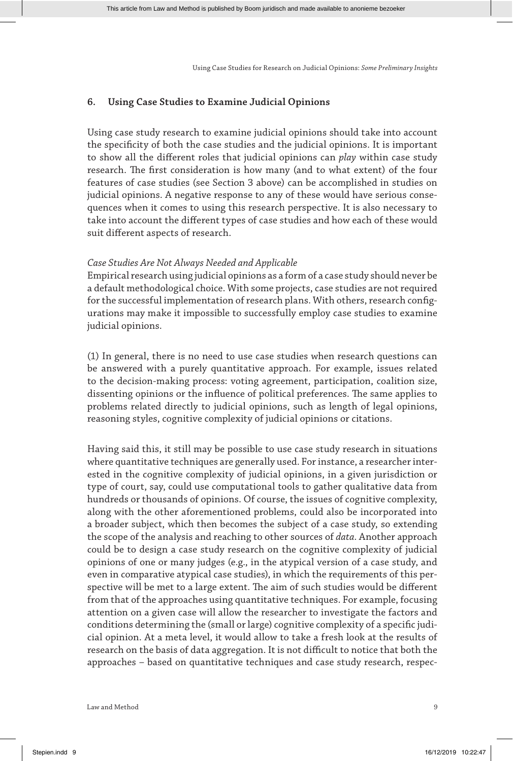## **6. Using Case Studies to Examine Judicial Opinions**

Using case study research to examine judicial opinions should take into account the specificity of both the case studies and the judicial opinions. It is important to show all the different roles that judicial opinions can *play* within case study research. The first consideration is how many (and to what extent) of the four features of case studies (see Section 3 above) can be accomplished in studies on judicial opinions. A negative response to any of these would have serious consequences when it comes to using this research perspective. It is also necessary to take into account the different types of case studies and how each of these would suit different aspects of research.

#### *Case Studies Are Not Always Needed and Applicable*

Empirical research using judicial opinions as a form of a case study should never be a default methodological choice. With some projects, case studies are not required for the successful implementation of research plans. With others, research configurations may make it impossible to successfully employ case studies to examine judicial opinions.

(1) In general, there is no need to use case studies when research questions can be answered with a purely quantitative approach. For example, issues related to the decision-making process: voting agreement, participation, coalition size, dissenting opinions or the influence of political preferences. The same applies to problems related directly to judicial opinions, such as length of legal opinions, reasoning styles, cognitive complexity of judicial opinions or citations.

Having said this, it still may be possible to use case study research in situations where quantitative techniques are generally used. For instance, a researcher interested in the cognitive complexity of judicial opinions, in a given jurisdiction or type of court, say, could use computational tools to gather qualitative data from hundreds or thousands of opinions. Of course, the issues of cognitive complexity, along with the other aforementioned problems, could also be incorporated into a broader subject, which then becomes the subject of a case study, so extending the scope of the analysis and reaching to other sources of *data*. Another approach could be to design a case study research on the cognitive complexity of judicial opinions of one or many judges (e.g., in the atypical version of a case study, and even in comparative atypical case studies), in which the requirements of this perspective will be met to a large extent. The aim of such studies would be different from that of the approaches using quantitative techniques. For example, focusing attention on a given case will allow the researcher to investigate the factors and conditions determining the (small or large) cognitive complexity of a specific judicial opinion. At a meta level, it would allow to take a fresh look at the results of research on the basis of data aggregation. It is not difficult to notice that both the approaches – based on quantitative techniques and case study research, respec-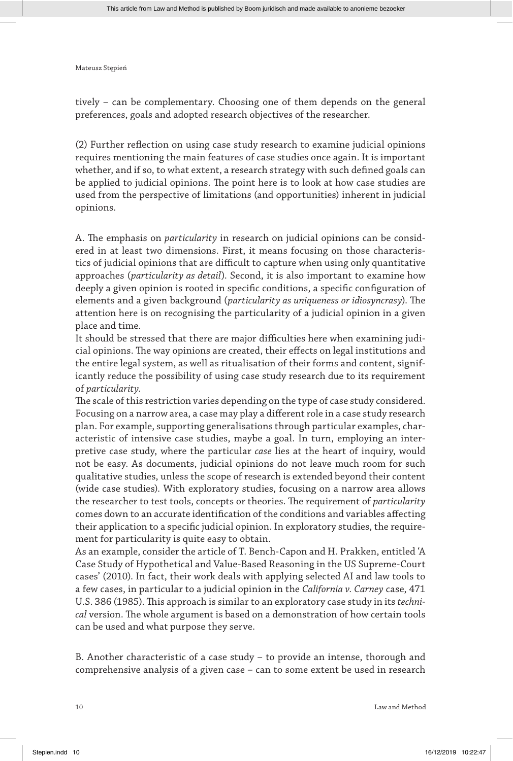tively – can be complementary. Choosing one of them depends on the general preferences, goals and adopted research objectives of the researcher.

(2) Further reflection on using case study research to examine judicial opinions requires mentioning the main features of case studies once again. It is important whether, and if so, to what extent, a research strategy with such defined goals can be applied to judicial opinions. The point here is to look at how case studies are used from the perspective of limitations (and opportunities) inherent in judicial opinions.

A. The emphasis on *particularity* in research on judicial opinions can be considered in at least two dimensions. First, it means focusing on those characteristics of judicial opinions that are difficult to capture when using only quantitative approaches (*particularity as detail*). Second, it is also important to examine how deeply a given opinion is rooted in specific conditions, a specific configuration of elements and a given background (*particularity as uniqueness or idiosyncrasy*). The attention here is on recognising the particularity of a judicial opinion in a given place and time.

It should be stressed that there are major difficulties here when examining judicial opinions. The way opinions are created, their effects on legal institutions and the entire legal system, as well as ritualisation of their forms and content, significantly reduce the possibility of using case study research due to its requirement of *particularity*.

The scale of this restriction varies depending on the type of case study considered. Focusing on a narrow area, a case may play a different role in a case study research plan. For example, supporting generalisations through particular examples, characteristic of intensive case studies, maybe a goal. In turn, employing an interpretive case study, where the particular *case* lies at the heart of inquiry, would not be easy. As documents, judicial opinions do not leave much room for such qualitative studies, unless the scope of research is extended beyond their content (wide case studies). With exploratory studies, focusing on a narrow area allows the researcher to test tools, concepts or theories. The requirement of *particularity* comes down to an accurate identification of the conditions and variables affecting their application to a specific judicial opinion. In exploratory studies, the requirement for particularity is quite easy to obtain.

As an example, consider the article of T. Bench-Capon and H. Prakken, entitled 'A Case Study of Hypothetical and Value-Based Reasoning in the US Supreme-Court cases' (2010). In fact, their work deals with applying selected AI and law tools to a few cases, in particular to a judicial opinion in the *California v. Carney* case, 471 U.S. 386 (1985). This approach is similar to an exploratory case study in its *technical* version. The whole argument is based on a demonstration of how certain tools can be used and what purpose they serve.

B. Another characteristic of a case study – to provide an intense, thorough and comprehensive analysis of a given case – can to some extent be used in research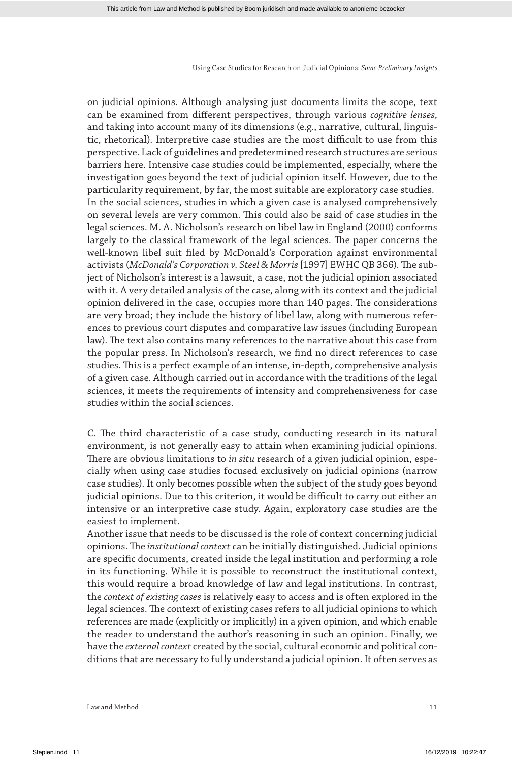on judicial opinions. Although analysing just documents limits the scope, text can be examined from different perspectives, through various *cognitive lenses*, and taking into account many of its dimensions (e.g., narrative, cultural, linguistic, rhetorical). Interpretive case studies are the most difficult to use from this perspective. Lack of guidelines and predetermined research structures are serious barriers here. Intensive case studies could be implemented, especially, where the investigation goes beyond the text of judicial opinion itself. However, due to the particularity requirement, by far, the most suitable are exploratory case studies. In the social sciences, studies in which a given case is analysed comprehensively on several levels are very common. This could also be said of case studies in the legal sciences. M. A. Nicholson's research on libel law in England (2000) conforms largely to the classical framework of the legal sciences. The paper concerns the well-known libel suit filed by McDonald's Corporation against environmental activists (*McDonald's Corporation v. Steel & Morris* [1997] EWHC QB 366). The subject of Nicholson's interest is a lawsuit, a case, not the judicial opinion associated with it. A very detailed analysis of the case, along with its context and the judicial opinion delivered in the case, occupies more than 140 pages. The considerations are very broad; they include the history of libel law, along with numerous references to previous court disputes and comparative law issues (including European law). The text also contains many references to the narrative about this case from the popular press. In Nicholson's research, we find no direct references to case studies. This is a perfect example of an intense, in-depth, comprehensive analysis of a given case. Although carried out in accordance with the traditions of the legal sciences, it meets the requirements of intensity and comprehensiveness for case studies within the social sciences.

C. The third characteristic of a case study, conducting research in its natural environment, is not generally easy to attain when examining judicial opinions. There are obvious limitations to *in situ* research of a given judicial opinion, especially when using case studies focused exclusively on judicial opinions (narrow case studies). It only becomes possible when the subject of the study goes beyond judicial opinions. Due to this criterion, it would be difficult to carry out either an intensive or an interpretive case study. Again, exploratory case studies are the easiest to implement.

Another issue that needs to be discussed is the role of context concerning judicial opinions. The *institutional context* can be initially distinguished. Judicial opinions are specific documents, created inside the legal institution and performing a role in its functioning. While it is possible to reconstruct the institutional context, this would require a broad knowledge of law and legal institutions. In contrast, the *context of existing cases* is relatively easy to access and is often explored in the legal sciences. The context of existing cases refers to all judicial opinions to which references are made (explicitly or implicitly) in a given opinion, and which enable the reader to understand the author's reasoning in such an opinion. Finally, we have the *external context* created by the social, cultural economic and political conditions that are necessary to fully understand a judicial opinion. It often serves as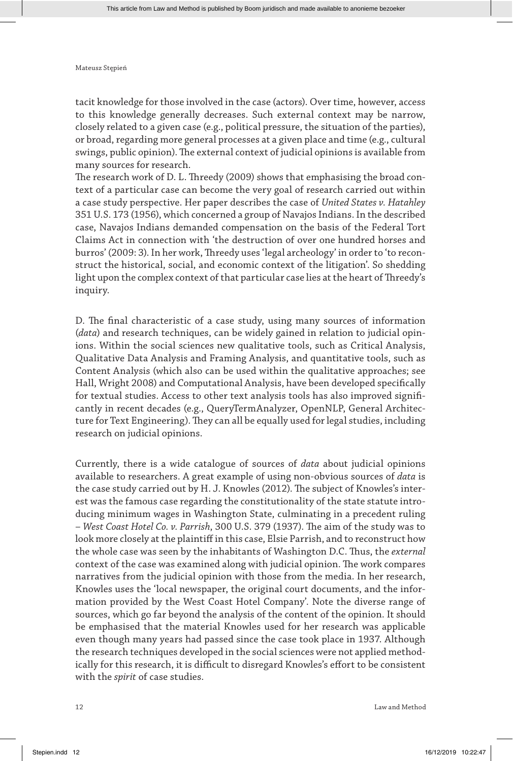tacit knowledge for those involved in the case (actors). Over time, however, access to this knowledge generally decreases. Such external context may be narrow, closely related to a given case (e.g., political pressure, the situation of the parties), or broad, regarding more general processes at a given place and time (e.g., cultural swings, public opinion). The external context of judicial opinions is available from many sources for research.

The research work of D. L. Threedy (2009) shows that emphasising the broad context of a particular case can become the very goal of research carried out within a case study perspective. Her paper describes the case of *United States v. Hatahley* 351 U.S. 173 (1956), which concerned a group of Navajos Indians. In the described case, Navajos Indians demanded compensation on the basis of the Federal Tort Claims Act in connection with 'the destruction of over one hundred horses and burros' (2009: 3). In her work, Threedy uses 'legal archeology' in order to 'to reconstruct the historical, social, and economic context of the litigation'. So shedding light upon the complex context of that particular case lies at the heart of Threedy's inquiry.

D. The final characteristic of a case study, using many sources of information (*data*) and research techniques, can be widely gained in relation to judicial opinions. Within the social sciences new qualitative tools, such as Critical Analysis, Qualitative Data Analysis and Framing Analysis, and quantitative tools, such as Content Analysis (which also can be used within the qualitative approaches; see Hall, Wright 2008) and Computational Analysis, have been developed specifically for textual studies. Access to other text analysis tools has also improved significantly in recent decades (e.g., QueryTermAnalyzer, OpenNLP, General Architecture for Text Engineering). They can all be equally used for legal studies, including research on judicial opinions.

Currently, there is a wide catalogue of sources of *data* about judicial opinions available to researchers. A great example of using non-obvious sources of *data* is the case study carried out by H. J. Knowles (2012). The subject of Knowles's interest was the famous case regarding the constitutionality of the state statute introducing minimum wages in Washington State, culminating in a precedent ruling – *West Coast Hotel Co. v. Parrish*, 300 U.S. 379 (1937). The aim of the study was to look more closely at the plaintiff in this case, Elsie Parrish, and to reconstruct how the whole case was seen by the inhabitants of Washington D.C. Thus, the *external* context of the case was examined along with judicial opinion. The work compares narratives from the judicial opinion with those from the media. In her research, Knowles uses the 'local newspaper, the original court documents, and the information provided by the West Coast Hotel Company'. Note the diverse range of sources, which go far beyond the analysis of the content of the opinion. It should be emphasised that the material Knowles used for her research was applicable even though many years had passed since the case took place in 1937. Although the research techniques developed in the social sciences were not applied methodically for this research, it is difficult to disregard Knowles's effort to be consistent with the *spirit* of case studies.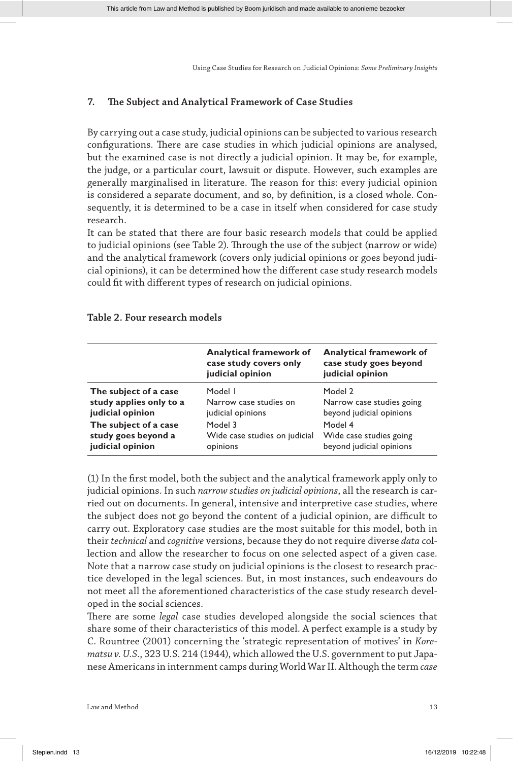## **7. The Subject and Analytical Framework of Case Studies**

By carrying out a case study, judicial opinions can be subjected to various research configurations. There are case studies in which judicial opinions are analysed, but the examined case is not directly a judicial opinion. It may be, for example, the judge, or a particular court, lawsuit or dispute. However, such examples are generally marginalised in literature. The reason for this: every judicial opinion is considered a separate document, and so, by definition, is a closed whole. Consequently, it is determined to be a case in itself when considered for case study research.

It can be stated that there are four basic research models that could be applied to judicial opinions (see Table 2). Through the use of the subject (narrow or wide) and the analytical framework (covers only judicial opinions or goes beyond judicial opinions), it can be determined how the different case study research models could fit with different types of research on judicial opinions.

|                         | <b>Analytical framework of</b><br>case study covers only<br>judicial opinion | Analytical framework of<br>case study goes beyond<br>judicial opinion |
|-------------------------|------------------------------------------------------------------------------|-----------------------------------------------------------------------|
| The subject of a case   | Model I                                                                      | Model 2                                                               |
| study applies only to a | Narrow case studies on                                                       | Narrow case studies going                                             |
| judicial opinion        | judicial opinions                                                            | beyond judicial opinions                                              |
| The subject of a case   | Model 3                                                                      | Model 4                                                               |
| study goes beyond a     | Wide case studies on judicial                                                | Wide case studies going                                               |
| judicial opinion        | opinions                                                                     | beyond judicial opinions                                              |

### **Table 2. Four research models**

(1) In the first model, both the subject and the analytical framework apply only to judicial opinions. In such *narrow studies on judicial opinions*, all the research is carried out on documents. In general, intensive and interpretive case studies, where the subject does not go beyond the content of a judicial opinion, are difficult to carry out. Exploratory case studies are the most suitable for this model, both in their *technical* and *cognitive* versions, because they do not require diverse *data* collection and allow the researcher to focus on one selected aspect of a given case. Note that a narrow case study on judicial opinions is the closest to research practice developed in the legal sciences. But, in most instances, such endeavours do not meet all the aforementioned characteristics of the case study research developed in the social sciences.

There are some *legal* case studies developed alongside the social sciences that share some of their characteristics of this model. A perfect example is a study by C. Rountree (2001) concerning the 'strategic representation of motives' in *Korematsu v. U.S.*, 323 U.S. 214 (1944), which allowed the U.S. government to put Japanese Americans in internment camps during World War II. Although the term *case*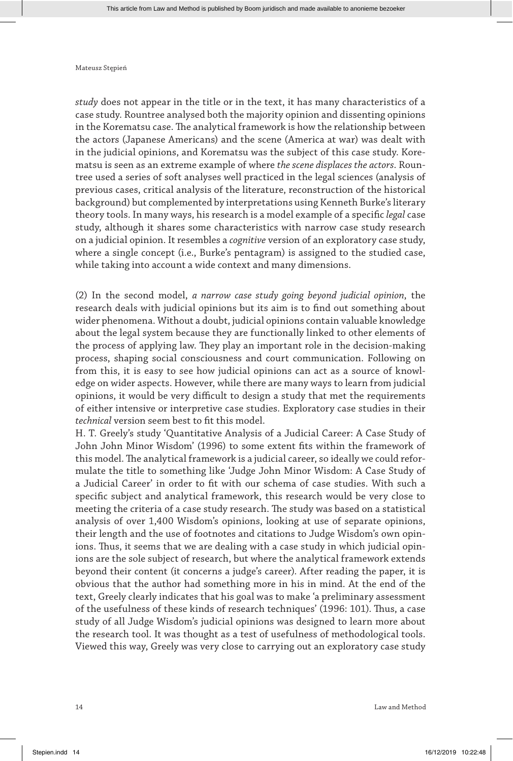*study* does not appear in the title or in the text, it has many characteristics of a case study. Rountree analysed both the majority opinion and dissenting opinions in the Korematsu case. The analytical framework is how the relationship between the actors (Japanese Americans) and the scene (America at war) was dealt with in the judicial opinions, and Korematsu was the subject of this case study. Korematsu is seen as an extreme example of where *the scene displaces the actors*. Rountree used a series of soft analyses well practiced in the legal sciences (analysis of previous cases, critical analysis of the literature, reconstruction of the historical background) but complemented by interpretations using Kenneth Burke's literary theory tools. In many ways, his research is a model example of a specific *legal* case study, although it shares some characteristics with narrow case study research on a judicial opinion. It resembles a *cognitive* version of an exploratory case study, where a single concept (i.e., Burke's pentagram) is assigned to the studied case, while taking into account a wide context and many dimensions.

(2) In the second model, *a narrow case study going beyond judicial opinion*, the research deals with judicial opinions but its aim is to find out something about wider phenomena. Without a doubt, judicial opinions contain valuable knowledge about the legal system because they are functionally linked to other elements of the process of applying law. They play an important role in the decision-making process, shaping social consciousness and court communication. Following on from this, it is easy to see how judicial opinions can act as a source of knowledge on wider aspects. However, while there are many ways to learn from judicial opinions, it would be very difficult to design a study that met the requirements of either intensive or interpretive case studies. Exploratory case studies in their *technical* version seem best to fit this model.

H. T. Greely's study 'Quantitative Analysis of a Judicial Career: A Case Study of John John Minor Wisdom' (1996) to some extent fits within the framework of this model. The analytical framework is a judicial career, so ideally we could reformulate the title to something like 'Judge John Minor Wisdom: A Case Study of a Judicial Career' in order to fit with our schema of case studies. With such a specific subject and analytical framework, this research would be very close to meeting the criteria of a case study research. The study was based on a statistical analysis of over 1,400 Wisdom's opinions, looking at use of separate opinions, their length and the use of footnotes and citations to Judge Wisdom's own opinions. Thus, it seems that we are dealing with a case study in which judicial opinions are the sole subject of research, but where the analytical framework extends beyond their content (it concerns a judge's career). After reading the paper, it is obvious that the author had something more in his in mind. At the end of the text, Greely clearly indicates that his goal was to make 'a preliminary assessment of the usefulness of these kinds of research techniques' (1996: 101). Thus, a case study of all Judge Wisdom's judicial opinions was designed to learn more about the research tool. It was thought as a test of usefulness of methodological tools. Viewed this way, Greely was very close to carrying out an exploratory case study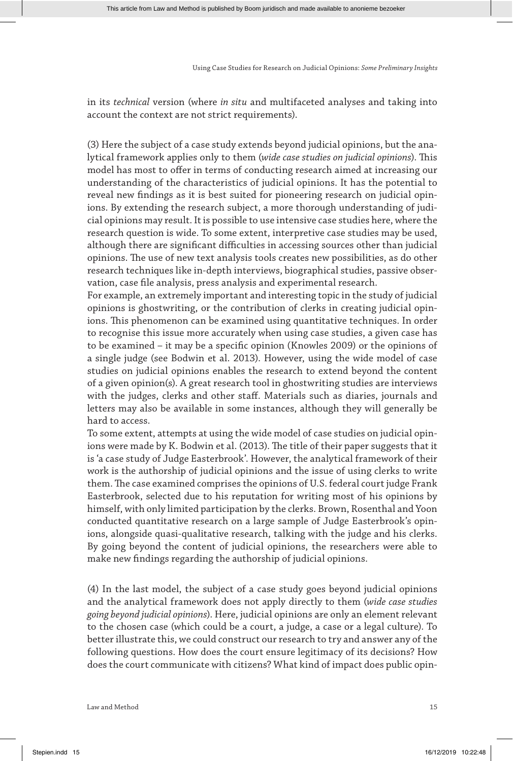in its *technical* version (where *in situ* and multifaceted analyses and taking into account the context are not strict requirements).

(3) Here the subject of a case study extends beyond judicial opinions, but the analytical framework applies only to them (*wide case studies on judicial opinions*). This model has most to offer in terms of conducting research aimed at increasing our understanding of the characteristics of judicial opinions. It has the potential to reveal new findings as it is best suited for pioneering research on judicial opinions. By extending the research subject, a more thorough understanding of judicial opinions may result. It is possible to use intensive case studies here, where the research question is wide. To some extent, interpretive case studies may be used, although there are significant difficulties in accessing sources other than judicial opinions. The use of new text analysis tools creates new possibilities, as do other research techniques like in-depth interviews, biographical studies, passive observation, case file analysis, press analysis and experimental research.

For example, an extremely important and interesting topic in the study of judicial opinions is ghostwriting, or the contribution of clerks in creating judicial opinions. This phenomenon can be examined using quantitative techniques. In order to recognise this issue more accurately when using case studies, a given case has to be examined – it may be a specific opinion (Knowles 2009) or the opinions of a single judge (see Bodwin et al. 2013). However, using the wide model of case studies on judicial opinions enables the research to extend beyond the content of a given opinion(s). A great research tool in ghostwriting studies are interviews with the judges, clerks and other staff. Materials such as diaries, journals and letters may also be available in some instances, although they will generally be hard to access.

To some extent, attempts at using the wide model of case studies on judicial opinions were made by K. Bodwin et al. (2013). The title of their paper suggests that it is 'a case study of Judge Easterbrook'. However, the analytical framework of their work is the authorship of judicial opinions and the issue of using clerks to write them. The case examined comprises the opinions of U.S. federal court judge Frank Easterbrook, selected due to his reputation for writing most of his opinions by himself, with only limited participation by the clerks. Brown, Rosenthal and Yoon conducted quantitative research on a large sample of Judge Easterbrook's opinions, alongside quasi-qualitative research, talking with the judge and his clerks. By going beyond the content of judicial opinions, the researchers were able to make new findings regarding the authorship of judicial opinions.

(4) In the last model, the subject of a case study goes beyond judicial opinions and the analytical framework does not apply directly to them (*wide case studies going beyond judicial opinions*). Here, judicial opinions are only an element relevant to the chosen case (which could be a court, a judge, a case or a legal culture). To better illustrate this, we could construct our research to try and answer any of the following questions. How does the court ensure legitimacy of its decisions? How does the court communicate with citizens? What kind of impact does public opin-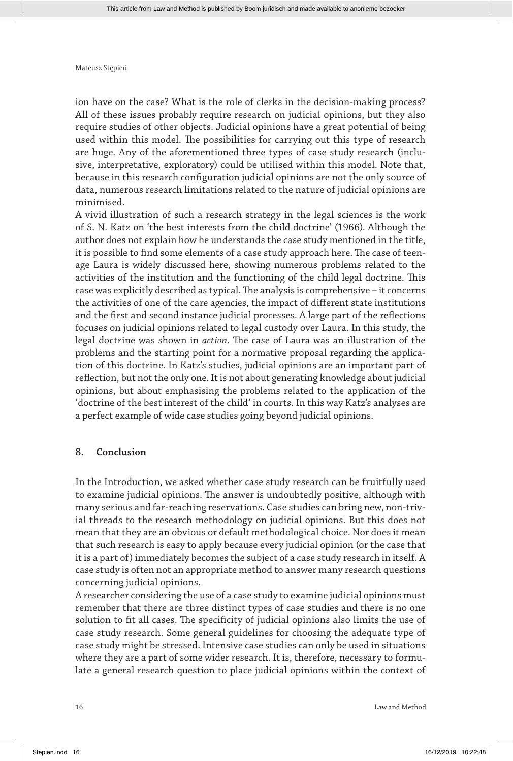ion have on the case? What is the role of clerks in the decision-making process? All of these issues probably require research on judicial opinions, but they also require studies of other objects. Judicial opinions have a great potential of being used within this model. The possibilities for carrying out this type of research are huge. Any of the aforementioned three types of case study research (inclusive, interpretative, exploratory) could be utilised within this model. Note that, because in this research configuration judicial opinions are not the only source of data, numerous research limitations related to the nature of judicial opinions are minimised.

A vivid illustration of such a research strategy in the legal sciences is the work of S. N. Katz on 'the best interests from the child doctrine' (1966). Although the author does not explain how he understands the case study mentioned in the title, it is possible to find some elements of a case study approach here. The case of teenage Laura is widely discussed here, showing numerous problems related to the activities of the institution and the functioning of the child legal doctrine. This case was explicitly described as typical. The analysis is comprehensive – it concerns the activities of one of the care agencies, the impact of different state institutions and the first and second instance judicial processes. A large part of the reflections focuses on judicial opinions related to legal custody over Laura. In this study, the legal doctrine was shown in *action*. The case of Laura was an illustration of the problems and the starting point for a normative proposal regarding the application of this doctrine. In Katz's studies, judicial opinions are an important part of reflection, but not the only one. It is not about generating knowledge about judicial opinions, but about emphasising the problems related to the application of the 'doctrine of the best interest of the child' in courts. In this way Katz's analyses are a perfect example of wide case studies going beyond judicial opinions.

## **8. Conclusion**

In the Introduction, we asked whether case study research can be fruitfully used to examine judicial opinions. The answer is undoubtedly positive, although with many serious and far-reaching reservations. Case studies can bring new, non-trivial threads to the research methodology on judicial opinions. But this does not mean that they are an obvious or default methodological choice. Nor does it mean that such research is easy to apply because every judicial opinion (or the case that it is a part of) immediately becomes the subject of a case study research in itself. A case study is often not an appropriate method to answer many research questions concerning judicial opinions.

A researcher considering the use of a case study to examine judicial opinions must remember that there are three distinct types of case studies and there is no one solution to fit all cases. The specificity of judicial opinions also limits the use of case study research. Some general guidelines for choosing the adequate type of case study might be stressed. Intensive case studies can only be used in situations where they are a part of some wider research. It is, therefore, necessary to formulate a general research question to place judicial opinions within the context of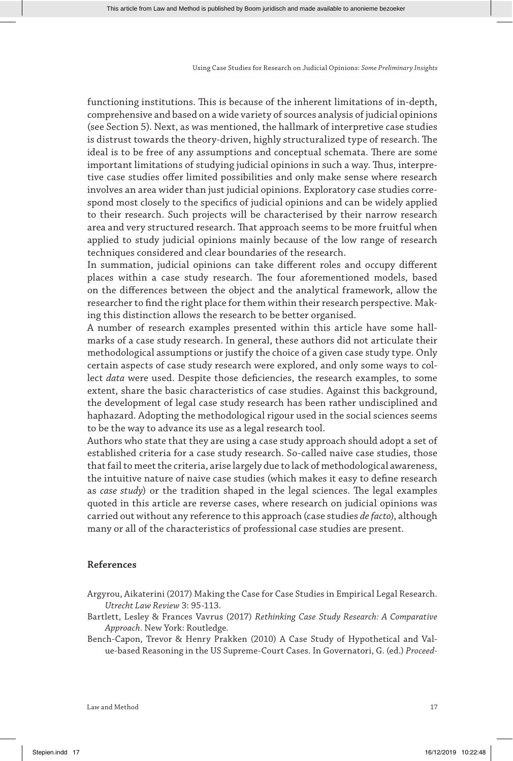functioning institutions. This is because of the inherent limitations of in-depth, comprehensive and based on a wide variety of sources analysis of judicial opinions (see Section 5). Next, as was mentioned, the hallmark of interpretive case studies is distrust towards the theory-driven, highly structuralized type of research. The ideal is to be free of any assumptions and conceptual schemata. There are some important limitations of studying judicial opinions in such a way. Thus, interpretive case studies offer limited possibilities and only make sense where research involves an area wider than just judicial opinions. Exploratory case studies correspond most closely to the specifics of judicial opinions and can be widely applied to their research. Such projects will be characterised by their narrow research area and very structured research. That approach seems to be more fruitful when applied to study judicial opinions mainly because of the low range of research techniques considered and clear boundaries of the research.

In summation, judicial opinions can take different roles and occupy different places within a case study research. The four aforementioned models, based on the differences between the object and the analytical framework, allow the researcher to find the right place for them within their research perspective. Making this distinction allows the research to be better organised.

A number of research examples presented within this article have some hallmarks of a case study research. In general, these authors did not articulate their methodological assumptions or justify the choice of a given case study type. Only certain aspects of case study research were explored, and only some ways to collect *data* were used. Despite those deficiencies, the research examples, to some extent, share the basic characteristics of case studies. Against this background, the development of legal case study research has been rather undisciplined and haphazard. Adopting the methodological rigour used in the social sciences seems to be the way to advance its use as a legal research tool.

Authors who state that they are using a case study approach should adopt a set of established criteria for a case study research. So-called naive case studies, those that fail to meet the criteria, arise largely due to lack of methodological awareness, the intuitive nature of naive case studies (which makes it easy to define research as *case study*) or the tradition shaped in the legal sciences. The legal examples quoted in this article are reverse cases, where research on judicial opinions was carried out without any reference to this approach (case studies *de facto*), although many or all of the characteristics of professional case studies are present.

#### **References**

Argyrou, Aikaterini (2017) Making the Case for Case Studies in Empirical Legal Research. *Utrecht Law Review* 3: 95-113.

- Bartlett, Lesley & Frances Vavrus (2017) *Rethinking Case Study Research: A Comparative Approach*. New York: Routledge.
- Bench-Capon, Trevor & Henry Prakken (2010) A Case Study of Hypothetical and Value-based Reasoning in the US Supreme-Court Cases. In Governatori, G. (ed.) *Proceed-*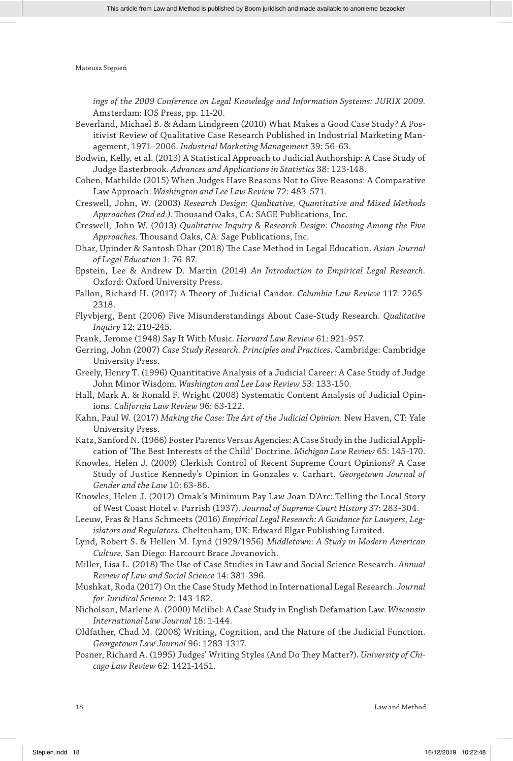*ings of the 2009 Conference on Legal Knowledge and Information Systems: JURIX 2009.*  Amsterdam: IOS Press, pp. 11-20.

- Beverland, Michael B. & Adam Lindgreen (2010) What Makes a Good Case Study? A Positivist Review of Qualitative Case Research Published in Industrial Marketing Management, 1971–2006. *Industrial Marketing Management* 39: 56-63.
- Bodwin, Kelly, et al. (2013) A Statistical Approach to Judicial Authorship: A Case Study of Judge Easterbrook. *Advances and Applications in Statistics* 38: 123-148.
- Cohen, Mathilde (2015) When Judges Have Reasons Not to Give Reasons: A Comparative Law Approach. *Washington and Lee Law Review* 72: 483-571.
- Creswell, John, W. (2003) *Research Design: Qualitative, Quantitative and Mixed Methods Approaches (2nd ed.)*. Thousand Oaks, CA: SAGE Publications, Inc.
- Creswell, John W. (2013) *Qualitative Inquiry & Research Design: Choosing Among the Five Approaches*. Thousand Oaks, CA: Sage Publications, Inc.
- Dhar, Upinder & Santosh Dhar (2018) The Case Method in Legal Education. *Asian Journal of Legal Education* 1: 76-87.
- Epstein, Lee & Andrew D. Martin (2014) *An Introduction to Empirical Legal Research.* Oxford: Oxford University Press.
- Fallon, Richard H. (2017) A Theory of Judicial Candor. *Columbia Law Review* 117: 2265- 2318.
- Flyvbjerg, Bent (2006) Five Misunderstandings About Case-Study Research. *Qualitative Inquiry* 12: 219-245.
- Frank, Jerome (1948) Say It With Music. *Harvard Law Review* 61: 921-957.
- Gerring, John (2007) *Case Study Research. Principles and Practices*. Cambridge: Cambridge University Press.
- Greely, Henry T. (1996) Quantitative Analysis of a Judicial Career: A Case Study of Judge John Minor Wisdom. *Washington and Lee Law Review* 53: 133-150.
- Hall, Mark A. & Ronald F. Wright (2008) Systematic Content Analysis of Judicial Opinions. *California Law Review* 96: 63-122.
- Kahn, Paul W. (2017) *Making the Case: The Art of the Judicial Opinion*. New Haven, CT: Yale University Press.
- Katz, Sanford N. (1966) Foster Parents Versus Agencies: A Case Study in the Judicial Application of 'The Best Interests of the Child' Doctrine. *Michigan Law Review* 65: 145-170.
- Knowles, Helen J. (2009) Clerkish Control of Recent Supreme Court Opinions? A Case Study of Justice Kennedy's Opinion in Gonzales v. Carhart. *Georgetown Journal of Gender and the Law* 10: 63-86.

Knowles, Helen J. (2012) Omak's Minimum Pay Law Joan D'Arc: Telling the Local Story of West Coast Hotel v. Parrish (1937). *Journal of Supreme Court History* 37: 283-304.

Leeuw, Fras & Hans Schmeets (2016) *Empirical Legal Research: A Guidance for Lawyers, Legislators and Regulators.* Cheltenham, UK: Edward Elgar Publishing Limited.

- Lynd, Robert S. & Hellen M. Lynd (1929/1956) *Middletown: A Study in Modern American Culture.* San Diego: Harcourt Brace Jovanovich.
- Miller, Lisa L. (2018) The Use of Case Studies in Law and Social Science Research. *Annual Review of Law and Social Science* 14: 381-396.
- Mushkat, Roda (2017) On the Case Study Method in International Legal Research. *Journal for Juridical Science* 2: 143-182.
- Nicholson, Marlene A. (2000) Mclibel: A Case Study in English Defamation Law. *Wisconsin International Law Journal* 18: 1-144.
- Oldfather, Chad M. (2008) Writing, Cognition, and the Nature of the Judicial Function. *Georgetown Law Journal* 96: 1283-1317.
- Posner, Richard A. (1995) Judges' Writing Styles (And Do They Matter?). *University of Chicago Law Review* 62: 1421-1451.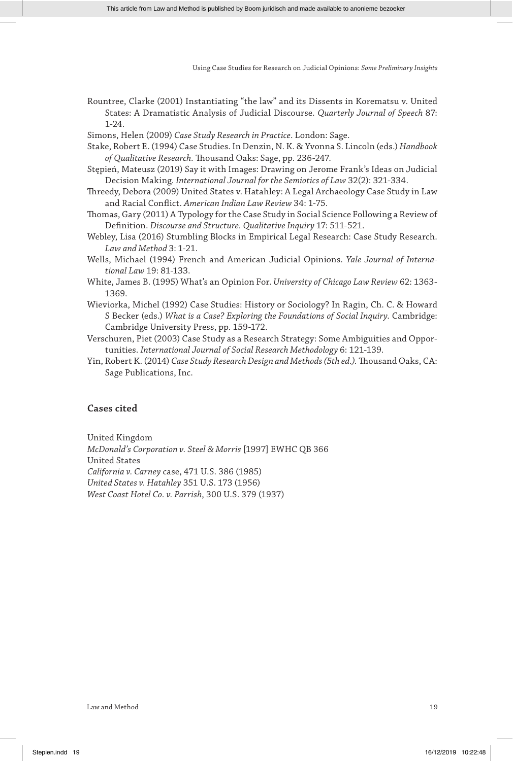Rountree, Clarke (2001) Instantiating "the law" and its Dissents in Korematsu v. United States: A Dramatistic Analysis of Judicial Discourse. *Quarterly Journal of Speech* 87: 1-24.

Simons, Helen (2009) *Case Study Research in Practice*. London: Sage.

- Stake, Robert E. (1994) Case Studies. In Denzin, N. K. & Yvonna S. Lincoln (eds.) *Handbook of Qualitative Research.* Thousand Oaks: Sage, pp. 236-247.
- Stępień, Mateusz (2019) Say it with Images: Drawing on Jerome Frank's Ideas on Judicial Decision Making. *International Journal for the Semiotics of Law* 32(2): 321-334.
- Threedy, Debora (2009) United States v. Hatahley: A Legal Archaeology Case Study in Law and Racial Conflict. *American Indian Law Review* 34: 1-75.
- Thomas, Gary (2011) A Typology for the Case Study in Social Science Following a Review of Definition. *Discourse and Structure. Qualitative Inquiry* 17: 511-521.
- Webley, Lisa (2016) Stumbling Blocks in Empirical Legal Research: Case Study Research. *Law and Method* 3: 1-21.
- Wells, Michael (1994) French and American Judicial Opinions. *Yale Journal of International Law* 19: 81-133.
- White, James B. (1995) What's an Opinion For. *University of Chicago Law Review* 62: 1363- 1369.
- Wieviorka, Michel (1992) Case Studies: History or Sociology? In Ragin, Ch. C. & Howard S Becker (eds.) *What is a Case? Exploring the Foundations of Social Inquiry*. Cambridge: Cambridge University Press, pp. 159-172.
- Verschuren, Piet (2003) Case Study as a Research Strategy: Some Ambiguities and Opportunities. *International Journal of Social Research Methodology* 6: 121-139.
- Yin, Robert K. (2014) *Case Study Research Design and Methods (5th ed.).* Thousand Oaks, CA: Sage Publications, Inc.

#### **Cases cited**

United Kingdom

*McDonald's Corporation v. Steel & Morris* [1997] EWHC QB 366 United States *California v. Carney* case, 471 U.S. 386 (1985) *United States v. Hatahley* 351 U.S. 173 (1956) *West Coast Hotel Co. v. Parrish*, 300 U.S. 379 (1937)